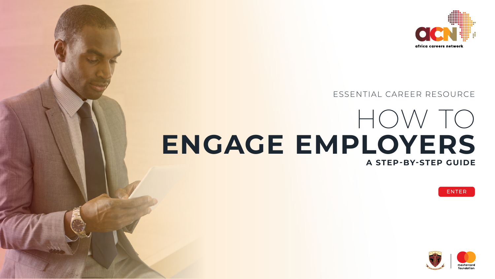



# HOW TO **ENGAGE EMPLOYERS A STEP-BY-STEP GUIDE**  ESSENTIAL CAREER RESOURCE









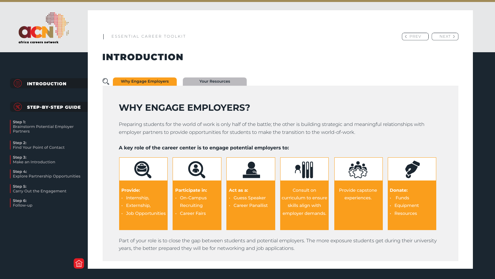# INTRODUCTION

**Why Engage Employers**

# **WHY ENGAGE EMPLOYERS?**

Preparing students for the world of work is only half of the battle; the other is building strategic and meaningful relationships with employer partners to provide opportunities for students to make the transition to the world-of-work.

### **A key role of the career center is to engage potential employers to:**

Part of your role is to close the gap between students and potential employers. The more exposure students get during their university years, the better prepared they will be for networking and job applications.



< PREV | | NEXT >





<span id="page-1-0"></span>

INTRODUCTION



### STEP-BY-STEP GUIDE

**Step 1:** Brainstorm Potential Employer Partners

**Step 2:** Find Your Point of Contact

**Step 3:** Make an Introduction

**Step 4:** Explore Partnership Opportunities

**Step 5:** Carry Out the Engagement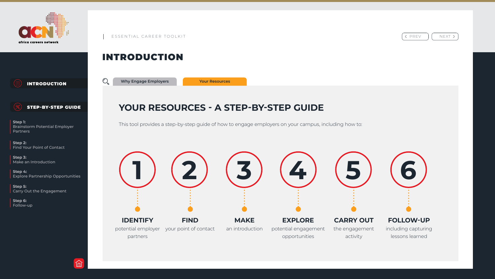# INTRODUCTION

# **YOUR RESOURCES - A STEP-BY-STEP GUIDE**

This tool provides a step-by-step guide of how to engage employers on your campus, including how to:

**Your Resources**



< PREV || NEXT >





[INTRODUCTION](#page-1-0)



### STEP-BY-STEP GUIDE

**Step 1:** Brainstorm Potential Employer Partners

**Step 2:** Find Your Point of Contact

**Step 3:** Make an Introduction

**Step 4:** Explore Partnership Opportunities

**Step 5:** Carry Out the Engagement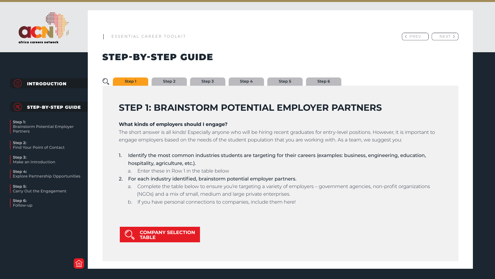

# STEP-BY-STEP GUIDE

# **STEP 1: BRAINSTORM POTENTIAL EMPLOYER PARTNERS**

### **What kinds of employers should I engage?**

The short answer is all kinds! Especially anyone who will be hiring recent graduates for entry-level positions. However, it is important to engage employers based on the needs of the student population that you are working with. As a team, we suggest you: Follow-up<br>
Follow-up<br>
Follow-up<br>
Follow-up<br>
Follow-up<br>
Follow-up<br>
Step 3<br>
Step 3<br>
Step 3<br>
Step 3<br>
Step 3<br>
Step 3<br>
Step 3<br>
Step 3<br>
Step 3<br>
Step 3<br>
Step 3<br>
Step 4<br>
Step 5<br>
Step 5<br>
Step 5<br>
Step 5<br>
Step 5<br>
Step 5<br>
Step 5<br>
Step

- hospitality, agriculture, etc.).
	- a. Enter these in Row 1 in the table below
- 2. For each industry identified, brainstorm potential employer partners.
	- (NGOs) and a mix of small, medium and large private enterprises.
	- b. If you have personal connections to companies, include them here!

a. Complete the table below to ensure you're targeting a variety of employers – government agencies, non-profit organizations





INTRODUCTION



### STEP-BY-STEP GUIDE

**Step 1:** Brainstorm Potential Employer Partners

**Step 2:** Find Your Point of Contact

**Step 3:** Make an Introduction

**Step 4:** Explore Partnership Opportunities

**Step 5:** Carry Out the Engagement

**Step 6:**





< PREV | | NEXT >

Identify the most common industries students are targeting for their careers (examples: business, engineering, education,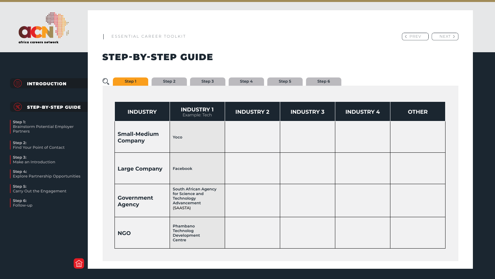

# STEP-BY-STEP GUIDE

**Step 3:** Make an Introduction

| <b>INTRODUCTION</b>                                                                                                | $\mathbb{O}_{\!o}$ | <b>Step1</b>                          | Step 2 | Step 3                                                                                  | Step 4            | Step 5 | Step 6            |                   |              |
|--------------------------------------------------------------------------------------------------------------------|--------------------|---------------------------------------|--------|-----------------------------------------------------------------------------------------|-------------------|--------|-------------------|-------------------|--------------|
|                                                                                                                    |                    |                                       |        |                                                                                         |                   |        |                   |                   |              |
| <b>STEP-BY-STEP GUIDE</b>                                                                                          |                    | <b>INDUSTRY</b>                       |        | <b>INDUSTRY 1</b><br>Example: Tech                                                      | <b>INDUSTRY 2</b> |        | <b>INDUSTRY 3</b> | <b>INDUSTRY 4</b> | <b>OTHER</b> |
| <b>Step 1:</b><br>Brainstorm Potential Employer<br><b>Partners</b><br><b>Step 2:</b><br>Find Your Point of Contact |                    | <b>Small-Medium</b><br><b>Company</b> |        | Yoco                                                                                    |                   |        |                   |                   |              |
| <b>Step 3:</b><br>Make an Introduction<br>Step 4:<br><b>Explore Partnership Opportunities</b>                      |                    | <b>Large Company</b>                  |        | Facebook                                                                                |                   |        |                   |                   |              |
| <b>Step 5:</b><br><b>Carry Out the Engagement</b><br>Step 6:<br>Follow-up                                          |                    | <b>Government</b><br><b>Agency</b>    |        | <b>South African Agency</b><br>for Science and<br>Technology<br>Advancement<br>(SAASTA) |                   |        |                   |                   |              |
|                                                                                                                    |                    | <b>NGO</b>                            |        | Phambano<br>Technolog<br>Development<br><b>Centre</b>                                   |                   |        |                   |                   |              |

**Step 6:**



 $\left\langle$  PREV  $\right|$  NEXT >

| Step 4 | Step 5 | Step 6 |
|--------|--------|--------|
|        |        |        |

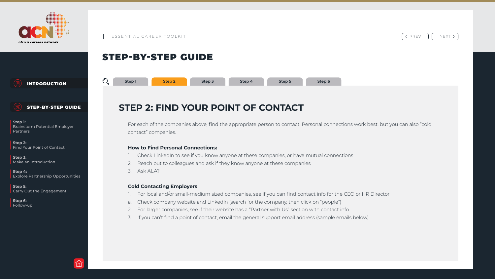# STEP-BY-STEP GUIDE



For each of the companies above, find the appropriate person to contact. Personal connections work best, but you can also "cold contact" companies. Follow-up<br> **Follow-up**<br> **Follow-up**<br> **Examplemental Employer**<br> **STEP 2: FIND YOUR POINT OF CONTACT**<br> **Step 3**<br> **Step 3**<br> **Step 3**<br> **Step 3**<br> **Step 3**<br> **Step 4**<br> **Step 5**<br> **Step 4**<br> **Step 5**<br> **Step 4**<br> **Step 4**<br> **Step 4**<br>

# **STEP 2: FIND YOUR POINT OF CONTACT**

### **How to Find Personal Connections:**

- 
- 2. Reach out to colleagues and ask if they know anyone at these companies
- 3. Ask ALA?

### **Cold Contacting Employers**

- 
- 
- 
- 



< PREV | | NEXT >

Check LinkedIn to see if you know anyone at these companies, or have mutual connections

1. For local and/or small-medium sized companies, see if you can find contact info for the CEO or HR Director a. Check company website and LinkedIn (search for the company, then click on "people") 2. For larger companies, see if their website has a "Partner with Us" section with contact info 3. If you can't find a point of contact, email the general support email address (sample emails below)



**Step 2**



[INTRODUCTION](#page-1-0)



### STEP-BY-STEP GUIDE

**Step 1:** Brainstorm Potential Employer Partners

**Step 2:** Find Your Point of Contact

**Step 3:** Make an Introduction

**Step 4:** Explore Partnership Opportunities

**Step 5:** Carry Out the Engagement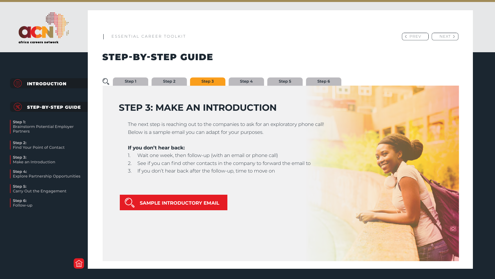# STEP-BY-STEP GUIDE

 $\mathbb{O}_{\mathbf{c}}$ 

# **STEP 3: MAKE AN INTRODUCTION**

The next step is reaching out to the companies to ask for an exploratory phone call! Below is a sample email you can adapt for your purposes.

### **If you don't hear back:**

- 1. Wait one week, then follow-up (with an email or phone call)
- 2. See if you can find other contacts in the company to forward the email to
- 3. If you don't hear back after the follow-up, time to move on





< PREV || NEXT >

**Step 3**



INTRODUCTION



### STEP-BY-STEP GUIDE

**Step 1:** Brainstorm Potential Employer Partners

**Step 2:** Find Your Point of Contact

**Step 3:** Make an Introduction

**Step 4:** Explore Partnership Opportunities

**Step 5:** Carry Out the Engagement

**Step 6:** Follow-up



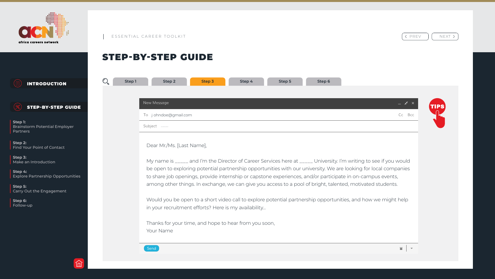

| Step 1 | <b>Step 2</b><br><b>Step 3</b>                                                                                                                                 |
|--------|----------------------------------------------------------------------------------------------------------------------------------------------------------------|
|        |                                                                                                                                                                |
|        | <b>New Message</b>                                                                                                                                             |
|        | $\overline{10}$ j ohndoe@gmail.com                                                                                                                             |
|        | Subject                                                                                                                                                        |
|        | Dear Mr./Ms. [Last Name],                                                                                                                                      |
|        | My name is _____ and I'm the Directo<br>be open to exploring potential partne<br>to share job openings, provide interns<br>among other things. In exchange, we |
|        | Would you be open to a short video c<br>in your recruitment efforts? Here is m                                                                                 |
|        | Thanks for your time, and hope to hea<br>Your Name                                                                                                             |





# STEP-BY-STEP GUIDE

INTRODUCTION

STEP-BY-STEP GUIDE

**Step 1:** Brainstorm Potential Employer Partners

**Step 2:** Find Your Point of Contact

**Step 3:** Make an Introduction

**Step 4:** Explore Partnership Opportunities

**Step 5:** Carry Out the Engagement

**Step 6:** Follow-up



 $Send$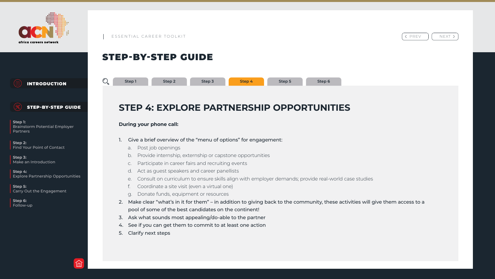# **STEP 4: EXPLORE PARTNERSHIP OPPORTUNITIES** Follow-up<br> **Follow-up**<br> **Follow-up**<br> **Examplemental Employer**<br> **STEP 4: EXPLORE PARTNERSHIP OPPORTUNI**<br>
Step 3<br>
Step 3<br>
Step 3<br>
Step 3<br>
Step 3<br>
Step 3<br>
Step 4<br>
Step 5<br>
Step 5<br>
Step 6<br>
Step 6<br>
Step 6<br>
Step 4:<br>
Step 6<br>
Step

# STEP-BY-STEP GUIDE

### **During your phone call:**

e. Consult on curriculum to ensure skills align with employer demands; provide real-world case studies

- Give a brief overview of the "menu of options" for engagement:
	- a. Post job openings
	- b. Provide internship, externship or capstone opportunities
	- c. Participate in career fairs and recruiting events
	- d. Act as guest speakers and career panellists
	-
	- Coordinate a site visit (even a virtual one)
	- g. Donate funds, equipment or resources
- pool of some of the best candidates on the continent!
- 3. Ask what sounds most appealing/do-able to the partner
- 4. See if you can get them to commit to at least one action
- 5. Clarify next steps



< PREV || NEXT >

2. Make clear "what's in it for them" – in addition to giving back to the community, these activities will give them access to a



**Step 4**



INTRODUCTION



### STEP-BY-STEP GUIDE

**Step 1:** Brainstorm Potential Employer Partners

**Step 2:** Find Your Point of Contact

**Step 3:** Make an Introduction

**Step 4:** Explore Partnership Opportunities

**Step 5:** Carry Out the Engagement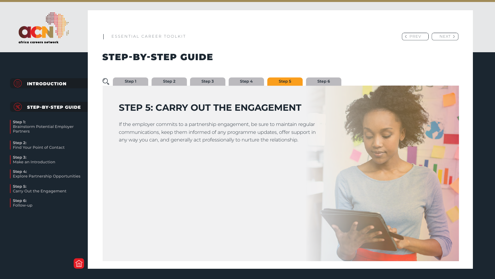# STEP-BY-STEP GUIDE



If the employer commits to a partnership engagement, be sure to maintain regular communications, keep them informed of any programme updates, offer support in any way you can, and generally act professionally to nurture the relationship. Follow-up<br> **Follow-up**<br> **Follow-up**<br> **Experimental Employer**<br> **STEP 5: CARRY OUT THE ENGAGEMENT**<br>
Step 3<br> **Step 3**<br> **Step 4**<br> **Step 3**<br> **Step 4**<br> **Step 3**<br> **Step 4**<br> **Step 3**<br> **Step 4**<br> **Step 4**<br> **Step 4**<br> **Step 4**<br> **Step** 



 $\left\langle \begin{array}{cc} PREV & | & NEXT \end{array} \right\rangle$ 

# **STEP 5: CARRY OUT THE ENGAGEMENT**

**Step 5**







INTRODUCTION



### STEP-BY-STEP GUIDE

**Step 1:** Brainstorm Potential Employer Partners

**Step 2:** Find Your Point of Contact

**Step 3:** Make an Introduction

**Step 4:** Explore Partnership Opportunities

**Step 5:** Carry Out the Engagement